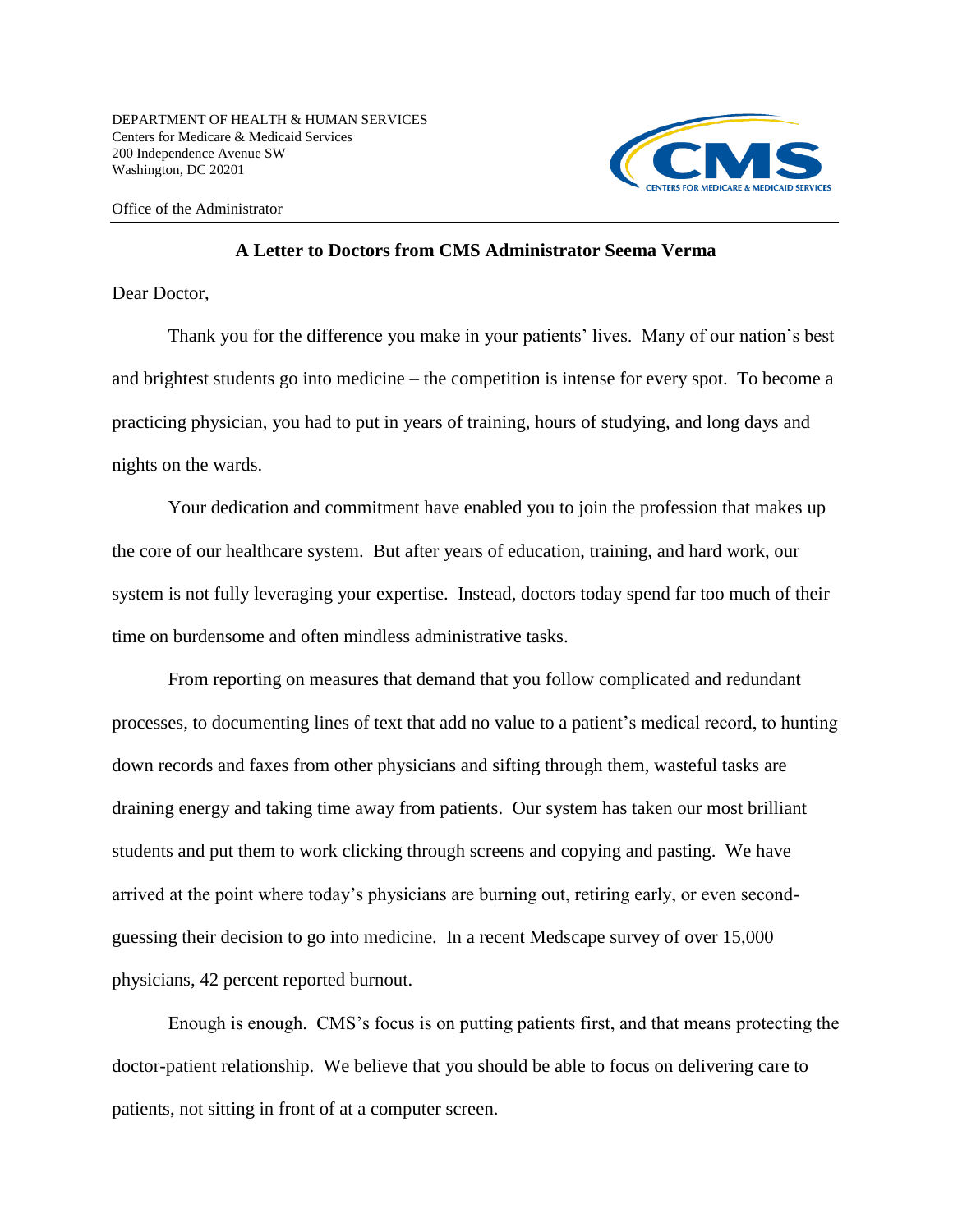

Office of the Administrator

## **A Letter to Doctors from CMS Administrator Seema Verma**

Dear Doctor,

Thank you for the difference you make in your patients' lives. Many of our nation's best and brightest students go into medicine – the competition is intense for every spot. To become a practicing physician, you had to put in years of training, hours of studying, and long days and nights on the wards.

Your dedication and commitment have enabled you to join the profession that makes up the core of our healthcare system. But after years of education, training, and hard work, our system is not fully leveraging your expertise. Instead, doctors today spend far too much of their time on burdensome and often mindless administrative tasks.

From reporting on measures that demand that you follow complicated and redundant processes, to documenting lines of text that add no value to a patient's medical record, to hunting down records and faxes from other physicians and sifting through them, wasteful tasks are draining energy and taking time away from patients. Our system has taken our most brilliant students and put them to work clicking through screens and copying and pasting. We have arrived at the point where today's physicians are burning out, retiring early, or even secondguessing their decision to go into medicine. In a recent Medscape survey of over 15,000 physicians, 42 percent reported burnout.

Enough is enough. CMS's focus is on putting patients first, and that means protecting the doctor-patient relationship. We believe that you should be able to focus on delivering care to patients, not sitting in front of at a computer screen.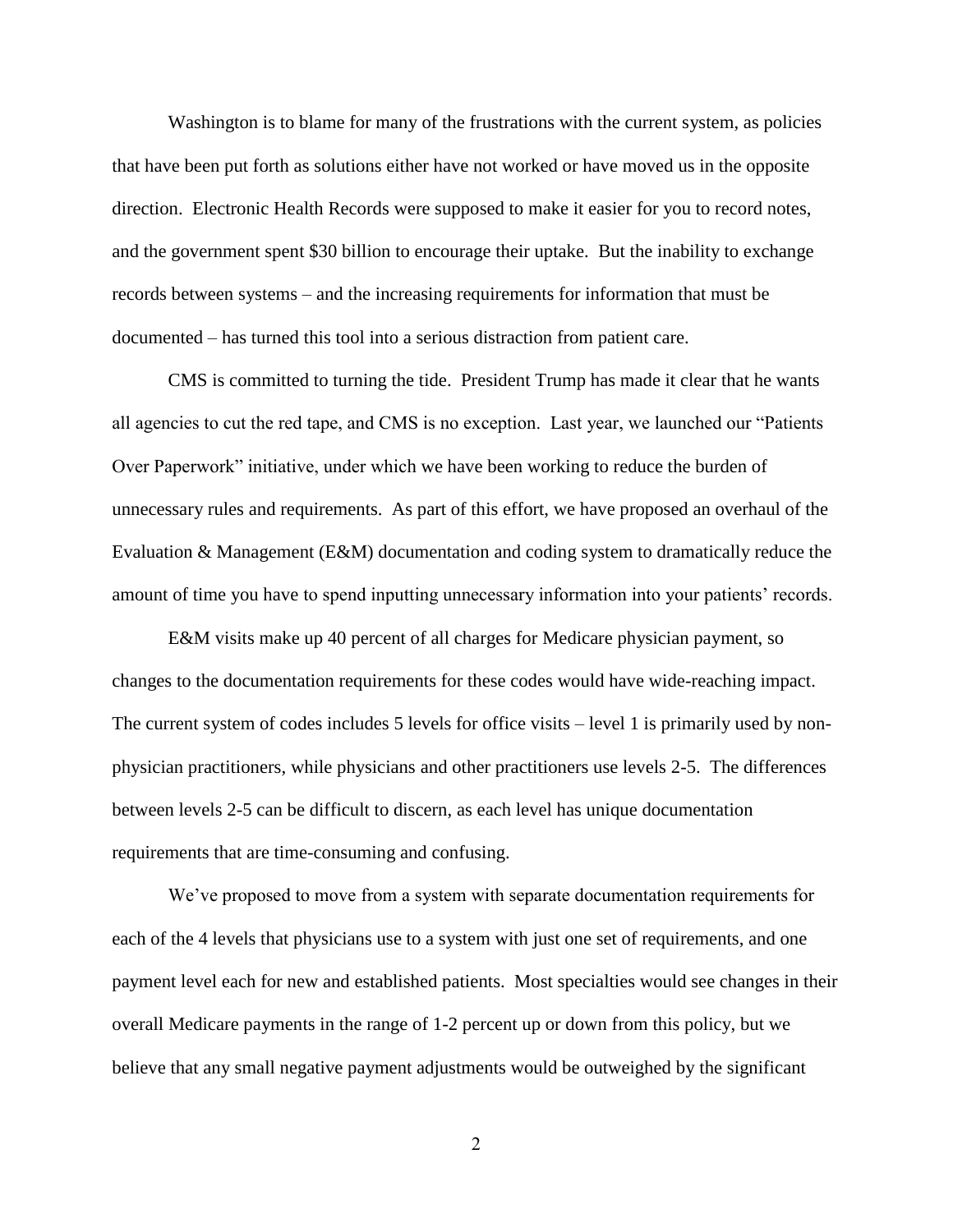Washington is to blame for many of the frustrations with the current system, as policies that have been put forth as solutions either have not worked or have moved us in the opposite direction. Electronic Health Records were supposed to make it easier for you to record notes, and the government spent \$30 billion to encourage their uptake. But the inability to exchange records between systems – and the increasing requirements for information that must be documented – has turned this tool into a serious distraction from patient care.

CMS is committed to turning the tide. President Trump has made it clear that he wants all agencies to cut the red tape, and CMS is no exception. Last year, we launched our "Patients Over Paperwork" initiative, under which we have been working to reduce the burden of unnecessary rules and requirements. As part of this effort, we have proposed an overhaul of the Evaluation & Management (E&M) documentation and coding system to dramatically reduce the amount of time you have to spend inputting unnecessary information into your patients' records.

E&M visits make up 40 percent of all charges for Medicare physician payment, so changes to the documentation requirements for these codes would have wide-reaching impact. The current system of codes includes 5 levels for office visits – level 1 is primarily used by nonphysician practitioners, while physicians and other practitioners use levels 2-5. The differences between levels 2-5 can be difficult to discern, as each level has unique documentation requirements that are time-consuming and confusing.

We've proposed to move from a system with separate documentation requirements for each of the 4 levels that physicians use to a system with just one set of requirements, and one payment level each for new and established patients. Most specialties would see changes in their overall Medicare payments in the range of 1-2 percent up or down from this policy, but we believe that any small negative payment adjustments would be outweighed by the significant

2